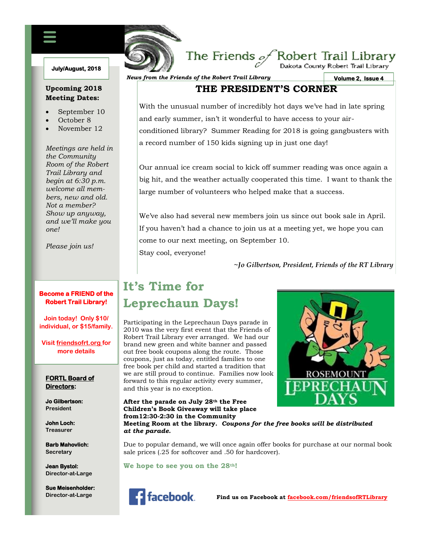### **July/August, 2018**

## **Upcoming 2018 Meeting Dates:**

- September 10
- October 8
- November 12

*Meetings are held in the Community Room of the Robert Trail Library and begin at 6:30 p.m. welcome all members, new and old. Not a member? Show up anyway, and we'll make you one!*

*Please join us!*

## **Become a FRIEND of the Robert Trail Library!**

**Join today! Only \$10/ individual, or \$15/family.**

**Visit friendsofrt.org for more details**

## **FORTL Board of Directors:**

**Jo Gilbertson: President**

**John Loch: Treasurer**

**Barb Mahovlich: Secretary**

**Jean Bystol: Director-at-Large**

**Sue Meisenholder: Director-at-Large**

*News from the Friends of the Robert Trail Library*

FRIENDS OF THE ROBERT TRAIL LIBRARY NEWSFILM

**Volume 2, Issue 4** 

## **THE PRESIDENT'S CORNER**

The Friends  $\mathscr{P}$ Robert Trail Library

With the unusual number of incredibly hot days we've had in late spring and early summer, isn't it wonderful to have access to your airconditioned library? Summer Reading for 2018 is going gangbusters with a record number of 150 kids signing up in just one day!

Our annual ice cream social to kick off summer reading was once again a big hit, and the weather actually cooperated this time. I want to thank the large number of volunteers who helped make that a success.

We've also had several new members join us since out book sale in April. If you haven't had a chance to join us at a meeting yet, we hope you can come to our next meeting, on September 10. Stay cool, everyone!

**~***Jo Gilbertson, President, Friends of the RT Library*

# **It's Time for Leprechaun Days!**

Participating in the Leprechaun Days parade in 2010 was the very first event that the Friends of Robert Trail Library ever arranged. We had our brand new green and white banner and passed out free book coupons along the route. Those coupons, just as today, entitled families to one free book per child and started a tradition that we are still proud to continue. Families now look forward to this regular activity every summer, and this year is no exception.

#### **After the parade on July 28th the Free Children's Book Giveaway will take place from12:30-2:30 in the Community**



### **Meeting Room at the library.** *Coupons for the free books will be distributed at the parade.*

Due to popular demand, we will once again offer books for purchase at our normal book sale prices (.25 for softcover and .50 for hardcover).

**We hope to see you on the 28th!**